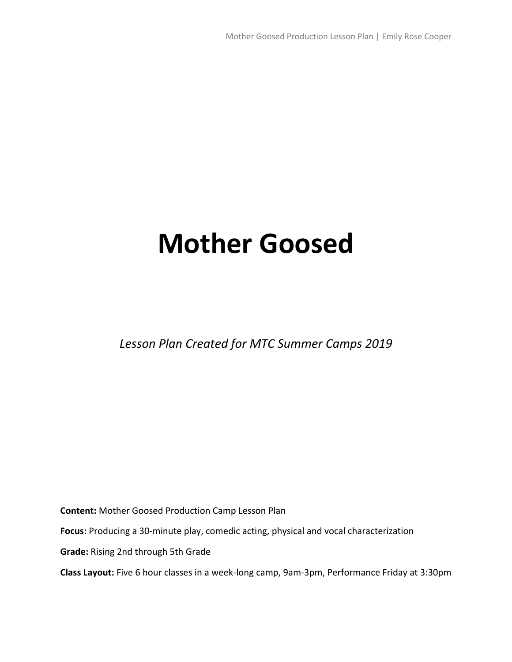# **Mother Goosed**

*Lesson Plan Created for MTC Summer Camps 2019*

**Content:** Mother Goosed Production Camp Lesson Plan

**Focus:** Producing a 30-minute play, comedic acting, physical and vocal characterization

**Grade:** Rising 2nd through 5th Grade

**Class Layout:** Five 6 hour classes in a week-long camp, 9am-3pm, Performance Friday at 3:30pm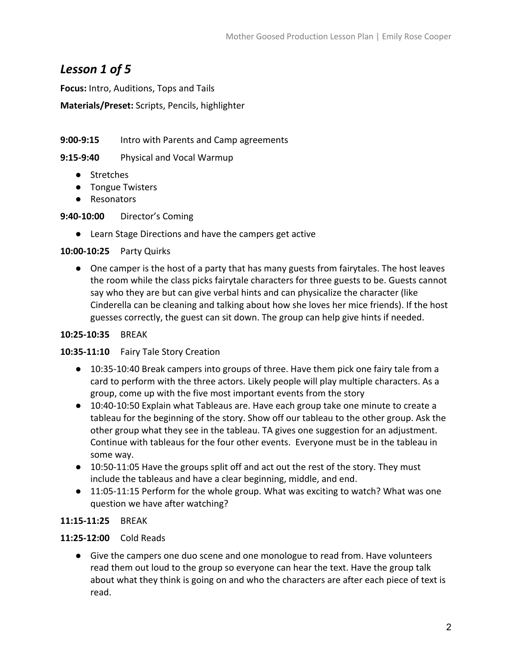# *Lesson 1 of 5*

**Focus:** Intro, Auditions, Tops and Tails

**Materials/Preset:** Scripts, Pencils, highlighter

**9:00-9:15** Intro with Parents and Camp agreements

**9:15-9:40** Physical and Vocal Warmup

- Stretches
- Tongue Twisters
- Resonators

**9:40-10:00** Director's Coming

● Learn Stage Directions and have the campers get active

#### **10:00-10:25** Party Quirks

● One camper is the host of a party that has many guests from fairytales. The host leaves the room while the class picks fairytale characters for three guests to be. Guests cannot say who they are but can give verbal hints and can physicalize the character (like Cinderella can be cleaning and talking about how she loves her mice friends). If the host guesses correctly, the guest can sit down. The group can help give hints if needed.

#### **10:25-10:35** BREAK

#### **10:35-11:10** Fairy Tale Story Creation

- 10:35-10:40 Break campers into groups of three. Have them pick one fairy tale from a card to perform with the three actors. Likely people will play multiple characters. As a group, come up with the five most important events from the story
- 10:40-10:50 Explain what Tableaus are. Have each group take one minute to create a tableau for the beginning of the story. Show off our tableau to the other group. Ask the other group what they see in the tableau. TA gives one suggestion for an adjustment. Continue with tableaus for the four other events. Everyone must be in the tableau in some way.
- 10:50-11:05 Have the groups split off and act out the rest of the story. They must include the tableaus and have a clear beginning, middle, and end.
- 11:05-11:15 Perform for the whole group. What was exciting to watch? What was one question we have after watching?

#### **11:15-11:25** BREAK

# **11:25-12:00** Cold Reads

● Give the campers one duo scene and one monologue to read from. Have volunteers read them out loud to the group so everyone can hear the text. Have the group talk about what they think is going on and who the characters are after each piece of text is read.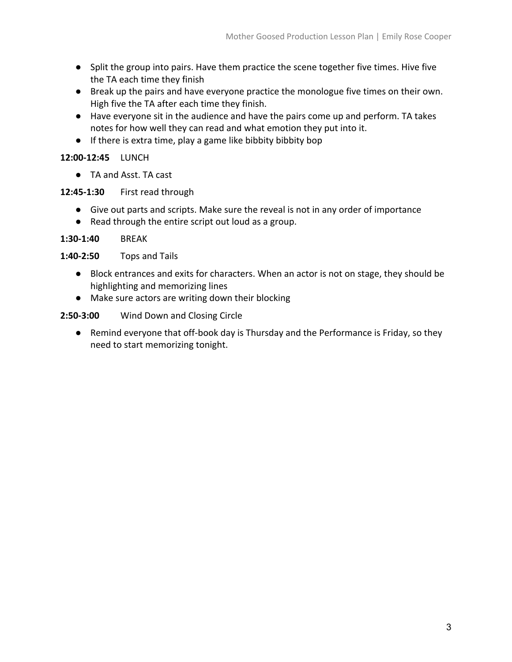- Split the group into pairs. Have them practice the scene together five times. Hive five the TA each time they finish
- Break up the pairs and have everyone practice the monologue five times on their own. High five the TA after each time they finish.
- Have everyone sit in the audience and have the pairs come up and perform. TA takes notes for how well they can read and what emotion they put into it.
- If there is extra time, play a game like bibbity bibbity bop

#### **12:00-12:45** LUNCH

● TA and Asst. TA cast

## **12:45-1:30** First read through

- Give out parts and scripts. Make sure the reveal is not in any order of importance
- Read through the entire script out loud as a group.

#### **1:30-1:40** BREAK

## **1:40-2:50** Tops and Tails

- Block entrances and exits for characters. When an actor is not on stage, they should be highlighting and memorizing lines
- Make sure actors are writing down their blocking

## **2:50-3:00** Wind Down and Closing Circle

● Remind everyone that off-book day is Thursday and the Performance is Friday, so they need to start memorizing tonight.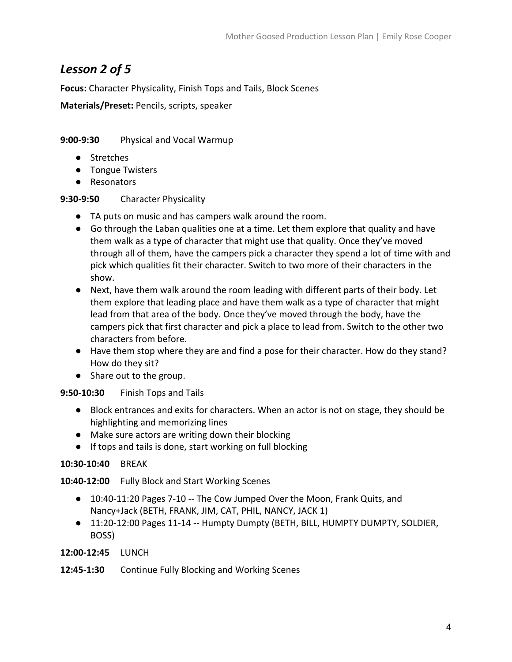# *Lesson 2 of 5*

**Focus:** Character Physicality, Finish Tops and Tails, Block Scenes

**Materials/Preset:** Pencils, scripts, speaker

# **9:00-9:30** Physical and Vocal Warmup

- Stretches
- Tongue Twisters
- Resonators

# **9:30-9:50** Character Physicality

- TA puts on music and has campers walk around the room.
- Go through the Laban qualities one at a time. Let them explore that quality and have them walk as a type of character that might use that quality. Once they've moved through all of them, have the campers pick a character they spend a lot of time with and pick which qualities fit their character. Switch to two more of their characters in the show.
- Next, have them walk around the room leading with different parts of their body. Let them explore that leading place and have them walk as a type of character that might lead from that area of the body. Once they've moved through the body, have the campers pick that first character and pick a place to lead from. Switch to the other two characters from before.
- Have them stop where they are and find a pose for their character. How do they stand? How do they sit?
- Share out to the group.

# **9:50-10:30** Finish Tops and Tails

- Block entrances and exits for characters. When an actor is not on stage, they should be highlighting and memorizing lines
- Make sure actors are writing down their blocking
- If tops and tails is done, start working on full blocking

# **10:30-10:40** BREAK

**10:40-12:00** Fully Block and Start Working Scenes

- 10:40-11:20 Pages 7-10 -- The Cow Jumped Over the Moon, Frank Quits, and Nancy+Jack (BETH, FRANK, JIM, CAT, PHIL, NANCY, JACK 1)
- 11:20-12:00 Pages 11-14 -- Humpty Dumpty (BETH, BILL, HUMPTY DUMPTY, SOLDIER, BOSS)

#### **12:00-12:45** LUNCH

# **12:45-1:30** Continue Fully Blocking and Working Scenes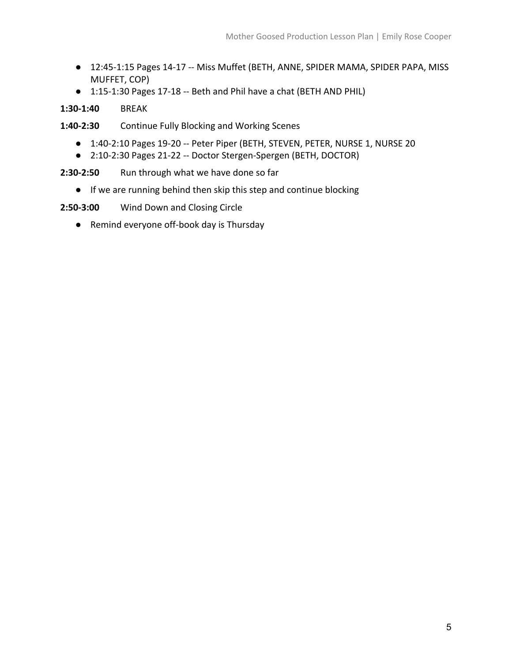- 12:45-1:15 Pages 14-17 -- Miss Muffet (BETH, ANNE, SPIDER MAMA, SPIDER PAPA, MISS MUFFET, COP)
- 1:15-1:30 Pages 17-18 -- Beth and Phil have a chat (BETH AND PHIL)

# **1:30-1:40** BREAK

**1:40-2:30** Continue Fully Blocking and Working Scenes

- 1:40-2:10 Pages 19-20 -- Peter Piper (BETH, STEVEN, PETER, NURSE 1, NURSE 20
- 2:10-2:30 Pages 21-22 -- Doctor Stergen-Spergen (BETH, DOCTOR)

2:30-2:50 Run through what we have done so far

● If we are running behind then skip this step and continue blocking

**2:50-3:00** Wind Down and Closing Circle

● Remind everyone off-book day is Thursday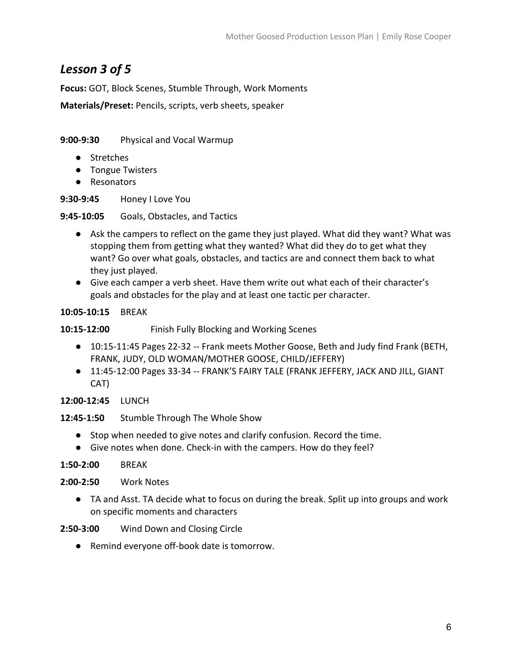# *Lesson 3 of 5*

**Focus:** GOT, Block Scenes, Stumble Through, Work Moments

**Materials/Preset:** Pencils, scripts, verb sheets, speaker

**9:00-9:30** Physical and Vocal Warmup

- Stretches
- Tongue Twisters
- Resonators

**9:30-9:45** Honey I Love You

**9:45-10:05** Goals, Obstacles, and Tactics

- Ask the campers to reflect on the game they just played. What did they want? What was stopping them from getting what they wanted? What did they do to get what they want? Go over what goals, obstacles, and tactics are and connect them back to what they just played.
- Give each camper a verb sheet. Have them write out what each of their character's goals and obstacles for the play and at least one tactic per character.

**10:05-10:15** BREAK

**10:15-12:00** Finish Fully Blocking and Working Scenes

- 10:15-11:45 Pages 22-32 -- Frank meets Mother Goose, Beth and Judy find Frank (BETH, FRANK, JUDY, OLD WOMAN/MOTHER GOOSE, CHILD/JEFFERY)
- 11:45-12:00 Pages 33-34 -- FRANK'S FAIRY TALE (FRANK JEFFERY, JACK AND JILL, GIANT CAT)

## **12:00-12:45** LUNCH

#### **12:45-1:50** Stumble Through The Whole Show

- Stop when needed to give notes and clarify confusion. Record the time.
- Give notes when done. Check-in with the campers. How do they feel?

# **1:50-2:00** BREAK

#### **2:00-2:50** Work Notes

● TA and Asst. TA decide what to focus on during the break. Split up into groups and work on specific moments and characters

**2:50-3:00** Wind Down and Closing Circle

● Remind everyone off-book date is tomorrow.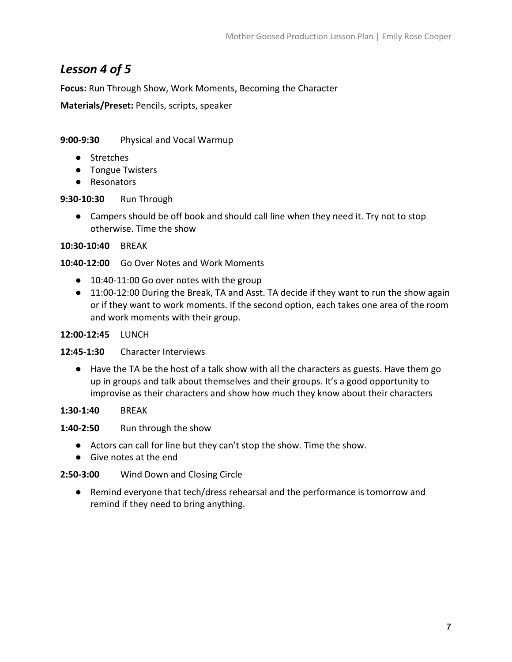# *Lesson 4 of 5*

**Focus:** Run Through Show, Work Moments, Becoming the Character

**Materials/Preset:** Pencils, scripts, speaker

## **9:00-9:30** Physical and Vocal Warmup

- Stretches
- Tongue Twisters
- Resonators

## **9:30-10:30** Run Through

● Campers should be off book and should call line when they need it. Try not to stop otherwise. Time the show

#### **10:30-10:40** BREAK

**10:40-12:00** Go Over Notes and Work Moments

- 10:40-11:00 Go over notes with the group
- 11:00-12:00 During the Break, TA and Asst. TA decide if they want to run the show again or if they want to work moments. If the second option, each takes one area of the room and work moments with their group.

#### **12:00-12:45** LUNCH

#### **12:45-1:30** Character Interviews

● Have the TA be the host of a talk show with all the characters as guests. Have them go up in groups and talk about themselves and their groups. It's a good opportunity to improvise as their characters and show how much they know about their characters

**1:30-1:40** BREAK

**1:40-2:50** Run through the show

- Actors can call for line but they can't stop the show. Time the show.
- Give notes at the end

# **2:50-3:00** Wind Down and Closing Circle

● Remind everyone that tech/dress rehearsal and the performance is tomorrow and remind if they need to bring anything.